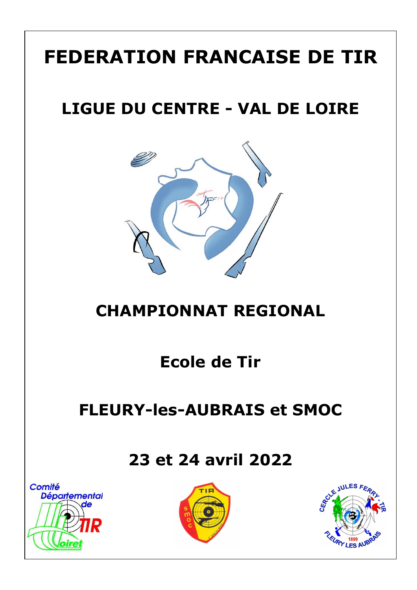# **FEDERATION FRANCAISE DE TIR**

## **LIGUE DU CENTRE - VAL DE LOIRE**



### **CHAMPIONNAT REGIONAL**

### **Ecole de Tir**

### **FLEURY-les-AUBRAIS et SMOC**

#### **23 et 24 avril 2022**